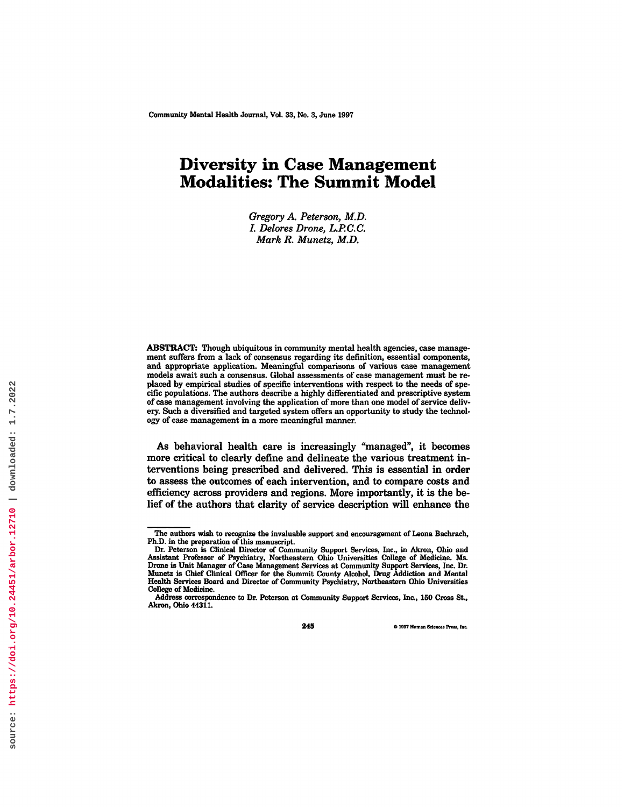## **Diversity i n Cas e Management Modalities : Th e Summit Model**

*Gregory A. Peterson, M.D. I. Delores Drone, L.P.C.C. Mark R. Munetz, M.D.*

**ABSTRACT:** Though ubiquitous in community mental health agencies, case management suffers from a lack of consensus regarding its definition, essential components, and appropriate application. Meaningful comparisons of var models await such a consensus. Global assessments of case management must be re-<br>placed by empirical studies of specific interventions with respect to the needs of spe-<br>cific populations. The authors describe a highly diff

As behavioral health care is increasingly "managed", it becomes more critical t o clearl y defin e an d delineate th e variou s treatmen t in tervention s bein g prescribe d an d delivered . Thi s i s essential i n order to assess the outcomes of each intervention, and to compare costs and efficiency across providers and regions. More importantly, it is the belief of the authors that clarity of service description will enhance the

**245**

c 1997 Huma n Science s *Press,* Inc .

Th e author s wis h t o recogniz e th e invaluabl e support an d encouragement o f Leon a Bachrach

The authors wish to recognize the invaluable support and encouragement of Leona Bachrach, Ph.D. in the preparation of this manuscript.<br>Dr. Peterson is Clinical Director of Community Support Services, Inc., in Akron, Ohio a Health Service s Board an d Directo r o f Community Psychiatry , Northeastern Ohi o Universitie Munetz is Chief Clinical Officer for the Summit County Alcohol, Drug Addiction and Mental Health Services Board and Director of Community Psychiatry, Northeastern Ohio Universities<br>College of Medicine.<br>Address corresponden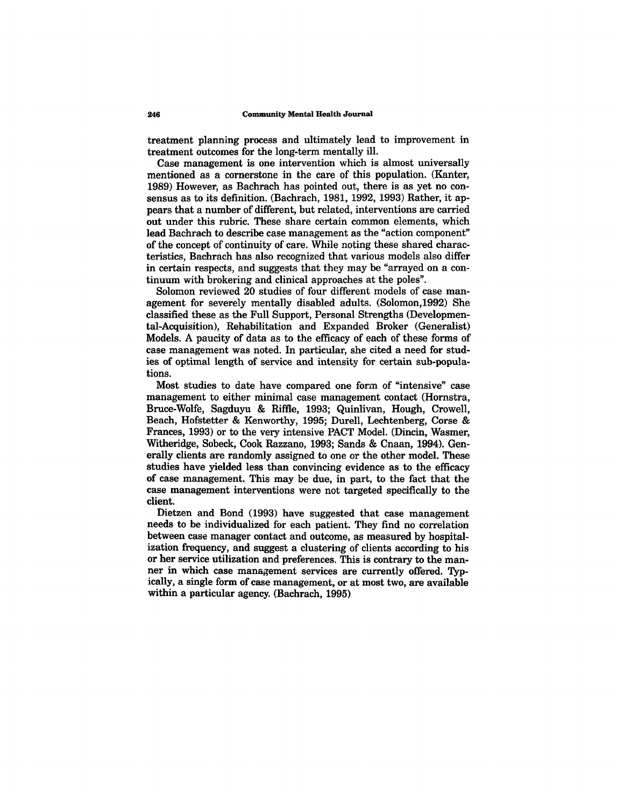treatment planning process and ultimately lead to improvement in treatment outcomes for the long-term mentally ill.

Case management is one intervention which is almost universally mentioned as a cornerstone in the care of this population. (Kanter, 1989) However, as Bachrach has pointed out, there is as yet no consensus as to its definition. (Bachrach, 1981, 1992, 1993) Rather, it appears that a number of different, but related, interventions are carried out under this rubric. These share certain common elements, which lead Bachrach to describe case management as the "action component" of the concept of continuity of care. While noting these shared characteristics, Bachrach has also recognized that various models also differ in certain respects, and suggests that they may be "arrayed on a continuum with brokering and clinical approaches at the poles".

Solomon reviewed 20 studies of four different models of case management for severely mentally disabled adults. (Solomon,1992) She classified these as the Full Support, Personal Strengths (Developmental-Acquisition), Rehabilitation and Expanded Broker (Generalist) Models. A paucity of data as to the efficacy of each of these forms of case management was noted. In particular, she cited a need for studies of optimal length of service and intensity for certain sub-populations.

Most studies to date have compared one form of "intensive" case management to either minimal case management contact (Hornstra, Bruce-Wolfe, Sagduyu & Riffle, 1993; Quinlivan, Hough, Crowell, Beach, Hofstetter & Kenworthy, 1995; Durell, Lechtenberg, Corse & Frances, 1993) or to the very intensive PACT Model. (Dincin, Wasmer, Witheridge, Sobeck, Cook Razzano, 1993; Sands & Cnaan, 1994). Generally clients are randomly assigned to one or the other model. These studies have yielded less than convincing evidence as to the efficacy of case management. This may be due, in part, to the fact that the case management interventions were not targeted specifically to the client.

Dietzen and Bond (1993) have suggested that case management needs to be individualized for each patient. They find no correlation between case manager contact and outcome, as measured by hospitalization frequency, and suggest a clustering of clients according to his or her service utilization and preferences. This is contrary to the manner in which case management services are currently offered. Typically, a single form of case management, or at most two, are available within a particular agency. (Bachrach, 1995)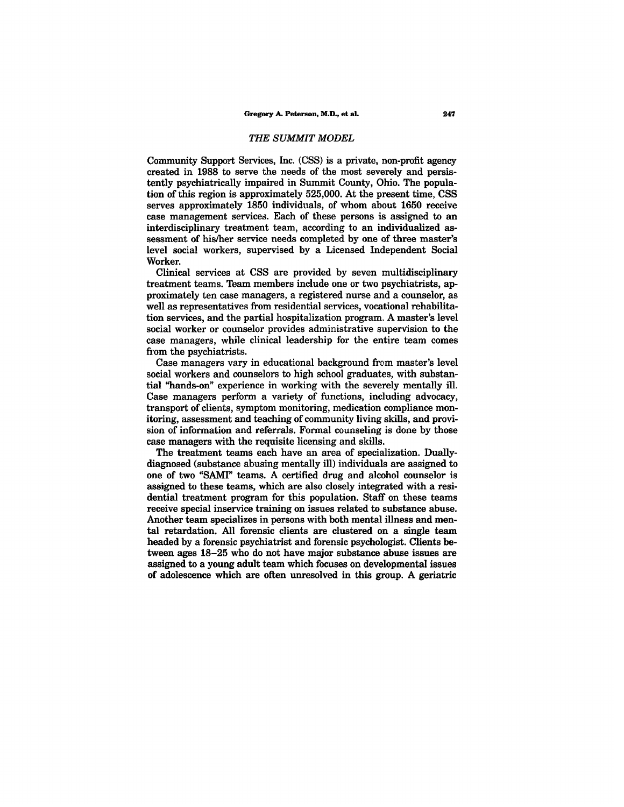## *THE SUMMIT MODEL*

Community Support Services, Inc. (CSS) is a private, non-profit agency created in 1988 to serve the needs of the most severely and persistently psychiatrically impaired in Summit County, Ohio. The population of this region is approximately 525,000. At the present time, CSS serves approximately 1850 individuals, of whom about 1650 receive case management services. Each of these persons is assigned to an interdisciplinary treatment team, according to an individualized assessment of his/her service needs completed by one of three master's level social workers, supervised by a Licensed Independent Social Worker.

Clinical services at CSS are provided by seven multidisciplinary treatment teams. Team members include one or two psychiatrists, approximately ten case managers, a registered nurse and a counselor, as well as representatives from residential services, vocational rehabilitation services, and the partial hospitalization program. A master's level social worker or counselor provides administrative supervision to the case managers, while clinical leadership for the entire team comes from the psychiatrists.

Case managers vary in educational background from master's level social workers and counselors to high school graduates, with substantial "hands-on" experience in working with the severely mentally ill. Case managers perform a variety of functions, including advocacy, transport of clients, symptom monitoring, medication compliance monitoring, assessment and teaching of community living skills, and provision of information and referrals. Formal counseling is done by those case managers with the requisite licensing and skills.

The treatment teams each have an area of specialization. Duallydiagnosed (substance abusing mentally ill) individuals are assigned to one of two "SAMI" teams. A certified drug and alcohol counselor is assigned to these teams, which are also closely integrated with a residential treatment program for this population. Staff on these teams receive special inservice training on issues related to substance abuse. Another team specializes in persons with both mental illness and mental retardation. All forensic clients are clustered on a single team headed by a forensic psychiatrist and forensic psychologist. Clients between ages 18-25 who do not have major substance abuse issues are assigned to a young adult team which focuses on developmental issues of adolescence which are often unresolved in this group. A geriatric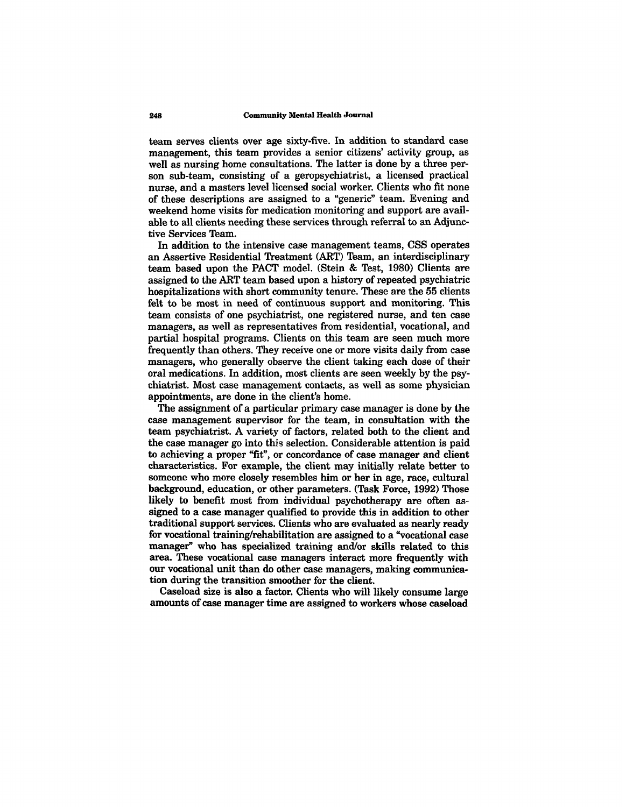team serves clients over age sixty-five. In addition to standard case management, this team provides a senior citizens' activity group, as well as nursing home consultations. The latter is done by a three person sub-team, consisting of a geropsychiatrist, a licensed practical nurse, and a masters level licensed social worker. Clients who fit none of these descriptions are assigned to a "generic" team. Evening and weekend home visits for medication monitoring and support are available to all clients needing these services through referral to an Adjunctive Services Team.

In addition to the intensive case management teams, CSS operates an Assertive Residential Treatment (ART) Team, an interdisciplinary team based upon the PACT model. (Stein & Test, 1980) Clients are assigned to the ART team based upon a history of repeated psychiatric hospitalizations with short community tenure. These are the 55 clients felt to be most in need of continuous support and monitoring. This team consists of one psychiatrist, one registered nurse, and ten case managers, as well as representatives from residential, vocational, and partial hospital programs. Clients on this team are seen much more frequently than others. They receive one or more visits daily from case managers, who generally observe the client taking each dose of their oral medications. In addition, most clients are seen weekly by the psychiatrist. Most case management contacts, as well as some physician appointments, are done in the client's home.

The assignment of a particular primary case manager is done by the case management supervisor for the team, in consultation with the team psychiatrist. A variety of factors, related both to the client and the case manager go into this selection. Considerable attention is paid to achieving a proper "fit", or concordance of case manager and client characteristics. For example, the client may initially relate better to someone who more closely resembles him or her in age, race, cultural background, education, or other parameters. (Task Force, 1992) Those likely to benefit most from individual psychotherapy are often assigned to a case manager qualified to provide this in addition to other traditional support services. Clients who are evaluated as nearly ready for vocational training/rehabilitation are assigned to a "vocational case manager" who has specialized training and/or skills related to this area. These vocational case managers interact more frequently with our vocational unit than do other case managers, making communication during the transition smoother for the client.

Caseload size is also a factor. Clients who will likely consume large amounts of case manager time are assigned to workers whose caseload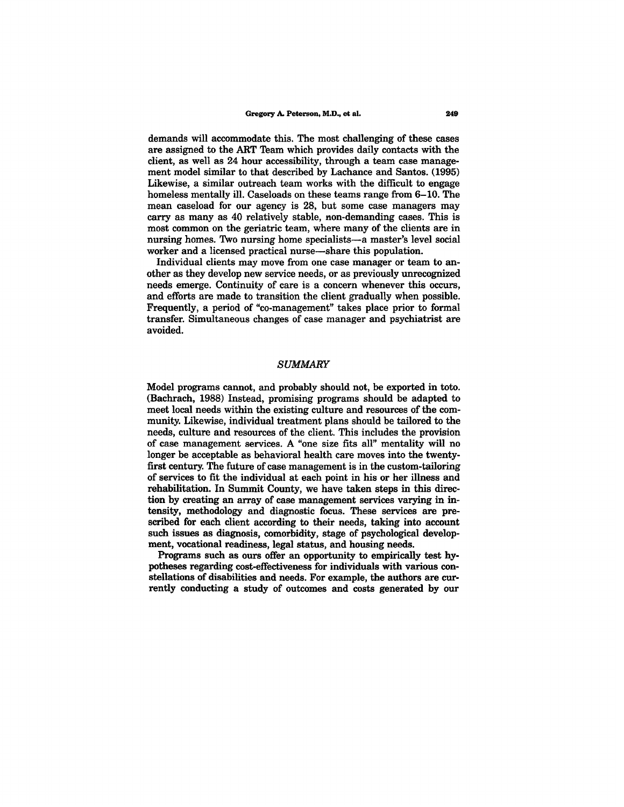demands will accommodate this. The most challenging of these cases are assigned to the ART Team which provides daily contacts with the client, as well as 24 hour accessibility, through a team case management model similar to that described by Lachance and Santos. (1995) Likewise, a similar outreach team works with the difficult to engage homeless mentally ill. Caseloads on these teams range from  $6-10$ . The mean caseload for our agency is 28, but some case managers may carry as many as 40 relatively stable, non-demanding cases. This is most common on the geriatric team, where many of the clients are in nursing homes. Two nursing home specialists—a master's level social worker and a licensed practical nurse—share this population.

Individual clients may move from one case manager or team to another as they develop new service needs, or as previously unrecognized needs emerge. Continuity of care is a concern whenever this occurs, and efforts are made to transition the client gradually when possible. Frequently, a period of "co-management" takes place prior to formal transfer. Simultaneous changes of case manager and psychiatrist are avoided.

## **SUMMARY**

Model programs cannot, and probably should not, be exported in toto. (Bachrach, 1988) Instead, promising programs should be adapted to meet local needs within the existing culture and resources of the community. Likewise, individual treatment plans should be tailored to the needs, culture and resources of the client. This includes the provision of case management services. A "one size fits all" mentality will no longer be acceptable as behavioral health care moves into the twentyfirst century. The future of case management is in the custom-tailoring of services to fit the individual at each point in his or her illness and rehabilitation. In Summit County, we have taken steps in this direc- tion by creating an array of case management services varying in intensity, methodology and diagnostic focus. These services are pre- scribed for each client according to their needs, taking into account

such issues as diagnosis, comorbidity, stage of psychological development, vocational readiness, legal status, and housing needs.<br>Programs such as ours offer an opportunity to empirically test hypotheses regarding cost-eff